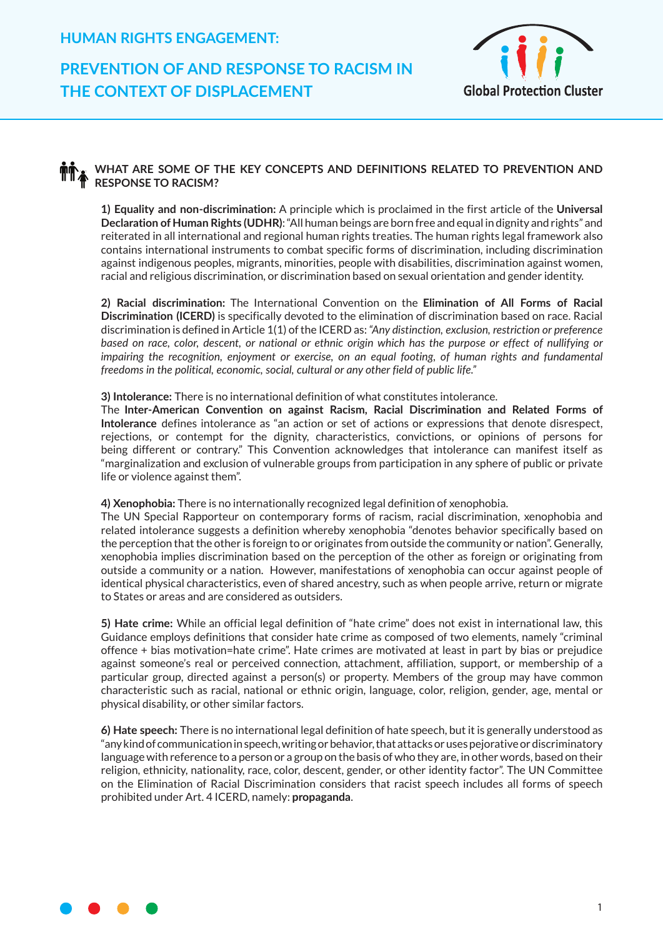## **PREVENTION OF AND RESPONSE TO RACISM IN THE CONTEXT OF DISPLACEMENT**



#### **WHAT ARE SOME OF THE KEY CONCEPTS AND DEFINITIONS RELATED TO PREVENTION AND RESPONSE TO RACISM?**

**1) Equality and non-discrimination:** A principle which is proclaimed in the first article of the **Universal Declaration of Human Rights (UDHR)**: "All human beings are born free and equal in dignity and rights" and reiterated in all international and regional human rights treaties. The human rights legal framework also contains international instruments to combat specific forms of discrimination, including discrimination against indigenous peoples, migrants, minorities, people with disabilities, discrimination against women, racial and religious discrimination, or discrimination based on sexual orientation and gender identity.

**2) Racial discrimination:** The International Convention on the **Elimination of All Forms of Racial Discrimination (ICERD)** is specifically devoted to the elimination of discrimination based on race. Racial discrimination is defined in Article 1(1) of the ICERD as: *"Any distinction, exclusion, restriction or preference based on race, color, descent, or national or ethnic origin which has the purpose or effect of nullifying or impairing the recognition, enjoyment or exercise, on an equal footing, of human rights and fundamental freedoms in the political, economic, social, cultural or any other field of public life."* 

**3) Intolerance:** There is no international definition of what constitutes intolerance.

The **Inter-American Convention on against Racism, Racial Discrimination and Related Forms of Intolerance** defines intolerance as "an action or set of actions or expressions that denote disrespect, rejections, or contempt for the dignity, characteristics, convictions, or opinions of persons for being different or contrary." This Convention acknowledges that intolerance can manifest itself as "marginalization and exclusion of vulnerable groups from participation in any sphere of public or private life or violence against them".

**4) Xenophobia:** There is no internationally recognized legal definition of xenophobia.

The UN Special Rapporteur on contemporary forms of racism, racial discrimination, xenophobia and related intolerance suggests a definition whereby xenophobia "denotes behavior specifically based on the perception that the other is foreign to or originates from outside the community or nation". Generally, xenophobia implies discrimination based on the perception of the other as foreign or originating from outside a community or a nation. However, manifestations of xenophobia can occur against people of identical physical characteristics, even of shared ancestry, such as when people arrive, return or migrate to States or areas and are considered as outsiders.

**5) Hate crime:** While an official legal definition of "hate crime" does not exist in international law, this Guidance employs definitions that consider hate crime as composed of two elements, namely "criminal offence + bias motivation=hate crime". Hate crimes are motivated at least in part by bias or prejudice against someone's real or perceived connection, attachment, affiliation, support, or membership of a particular group, directed against a person(s) or property. Members of the group may have common characteristic such as racial, national or ethnic origin, language, color, religion, gender, age, mental or physical disability, or other similar factors.

**6) Hate speech:** There is no international legal definition of hate speech, but it is generally understood as "any kind of communication in speech, writing or behavior, that attacks or uses pejorative or discriminatory language with reference to a person or a group on the basis of who they are, in other words, based on their religion, ethnicity, nationality, race, color, descent, gender, or other identity factor". The UN Committee on the Elimination of Racial Discrimination considers that racist speech includes all forms of speech prohibited under Art. 4 ICERD, namely: **propaganda**.